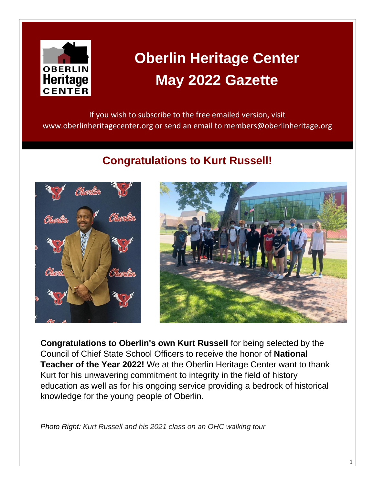

# **Oberlin Heritage Center May 2022 Gazette**

If you wish to subscribe to the free emailed version, visit www.oberlinheritagecenter.org or send an email to members@oberlinheritage.org

### **Congratulations to Kurt Russell!**





**Congratulations to Oberlin's own Kurt Russell** for being selected by the Council of Chief State School Officers to receive the honor of **National Teacher of the Year 2022!** We at the Oberlin Heritage Center want to thank Kurt for his unwavering commitment to integrity in the field of history education as well as for his ongoing service providing a bedrock of historical knowledge for the young people of Oberlin.

*Photo Right: Kurt Russell and his 2021 class on an OHC walking tour*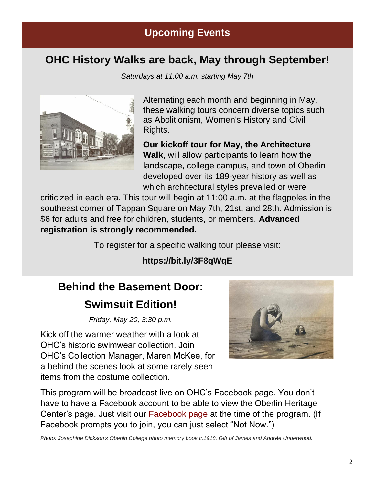### **Upcoming Events**

### **OHC History Walks are back, May through September!**

*Saturdays at 11:00 a.m. starting May 7th*



Alternating each month and beginning in May, these walking tours concern diverse topics such as Abolitionism, Women's History and Civil Rights.

**Our kickoff tour for May, the Architecture Walk**, will allow participants to learn how the landscape, college campus, and town of Oberlin developed over its 189-year history as well as which architectural styles prevailed or were

criticized in each era. This tour will begin at 11:00 a.m. at the flagpoles in the southeast corner of Tappan Square on May 7th, 21st, and 28th. Admission is \$6 for adults and free for children, students, or members. **Advanced registration is strongly recommended.** 

To register for a specific walking tour please visit:

### **https://bit.ly/3F8qWqE**

## **Behind the Basement Door:**

### **Swimsuit Edition!**

*Friday, May 20, 3:30 p.m.*

Kick off the warmer weather with a look at OHC's historic swimwear collection. Join OHC's Collection Manager, Maren McKee, for a behind the scenes look at some rarely seen items from the costume collection.



This program will be broadcast live on OHC's Facebook page. You don't have to have a Facebook account to be able to view the Oberlin Heritage Center's page. Just visit our [Facebook page](https://www.facebook.com/oberlinheritagecenter) at the time of the program. (If Facebook prompts you to join, you can just select "Not Now.")

*Photo: Josephine Dickson's Oberlin College photo memory book c.1918. Gift of James and Andrée Underwood.*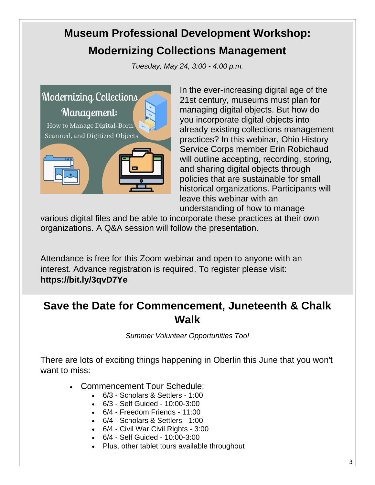## **Museum Professional Development Workshop: Modernizing Collections Management**

*Tuesday, May 24, 3:00 - 4:00 p.m.*



In the ever-increasing digital age of the 21st century, museums must plan for managing digital objects. But how do you incorporate digital objects into already existing collections management practices? In this webinar, Ohio History Service Corps member Erin Robichaud will outline accepting, recording, storing, and sharing digital objects through policies that are sustainable for small historical organizations. Participants will leave this webinar with an understanding of how to manage

various digital files and be able to incorporate these practices at their own organizations. A Q&A session will follow the presentation.

Attendance is free for this Zoom webinar and open to anyone with an interest. Advance registration is required. To register please visit: **https://bit.ly/3qvD7Ye**

### **Save the Date for Commencement, Juneteenth & Chalk Walk**

*Summer Volunteer Opportunities Too!*

There are lots of exciting things happening in Oberlin this June that you won't want to miss:

- Commencement Tour Schedule:
	- 6/3 Scholars & Settlers 1:00
	- 6/3 Self Guided 10:00-3:00
	- 6/4 Freedom Friends 11:00
	- 6/4 Scholars & Settlers 1:00
	- 6/4 Civil War Civil Rights 3:00
	- 6/4 Self Guided 10:00-3:00
	- Plus, other tablet tours available throughout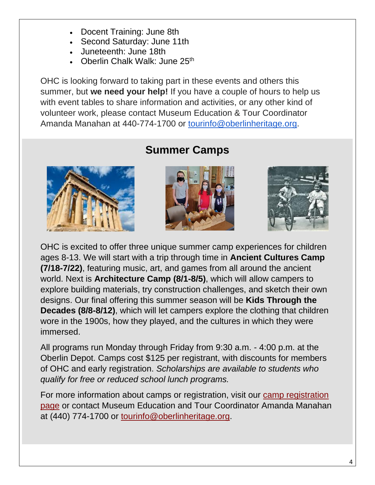- Docent Training: June 8th
- Second Saturday: June 11th
- Juneteenth: June 18th
- Oberlin Chalk Walk: June 25<sup>th</sup>

OHC is looking forward to taking part in these events and others this summer, but **we need your help!** If you have a couple of hours to help us with event tables to share information and activities, or any other kind of volunteer work, please contact Museum Education & Tour Coordinator Amanda Manahan at 440-774-1700 or [tourinfo@oberlinheritage.org.](mailto:tourinfo@oberlinheritage.org)



### **Summer Camps**





OHC is excited to offer three unique summer camp experiences for children ages 8-13. We will start with a trip through time in **Ancient Cultures Camp (7/18-7/22)**, featuring music, art, and games from all around the ancient world. Next is **Architecture Camp (8/1-8/5)**, which will allow campers to explore building materials, try construction challenges, and sketch their own designs. Our final offering this summer season will be **Kids Through the Decades (8/8-8/12)**, which will let campers explore the clothing that children wore in the 1900s, how they played, and the cultures in which they were immersed.

All programs run Monday through Friday from 9:30 a.m. - 4:00 p.m. at the Oberlin Depot. Camps cost \$125 per registrant, with discounts for members of OHC and early registration. *Scholarships are available to students who qualify for free or reduced school lunch programs.*

For more information about camps or registration, visit our [camp registration](https://www.oberlinheritagecenter.org/whatsnew/?action=show&id=678)  [page](https://www.oberlinheritagecenter.org/whatsnew/?action=show&id=678) or contact Museum Education and Tour Coordinator Amanda Manahan at (440) 774-1700 or [tourinfo@oberlinheritage.org.](mailto:tourinfo@oberlinheritage.org)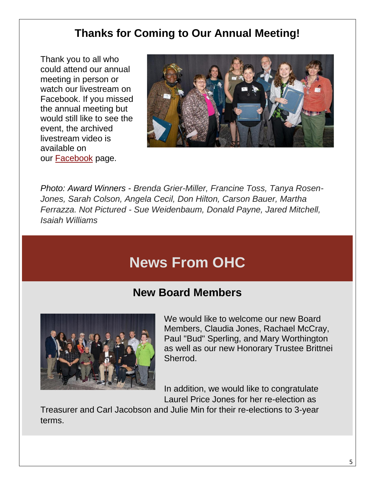### **Thanks for Coming to Our Annual Meeting!**

Thank you to all who could attend our annual meeting in person or watch our livestream on Facebook. If you missed the annual meeting but would still like to see the event, the archived livestream video is available on our [Facebook](https://fb.watch/cxkMFj9X9O/) page.



*Photo: Award Winners - Brenda Grier-Miller, Francine Toss, Tanya Rosen-Jones, Sarah Colson, Angela Cecil, Don Hilton, Carson Bauer, Martha Ferrazza. Not Pictured - Sue Weidenbaum, Donald Payne, Jared Mitchell, Isaiah Williams*

## **News From OHC**

### **New Board Members**



We would like to welcome our new Board Members, Claudia Jones, Rachael McCray, Paul "Bud" Sperling, and Mary Worthington as well as our new Honorary Trustee Brittnei Sherrod.

In addition, we would like to congratulate Laurel Price Jones for her re-election as

Treasurer and Carl Jacobson and Julie Min for their re-elections to 3-year terms.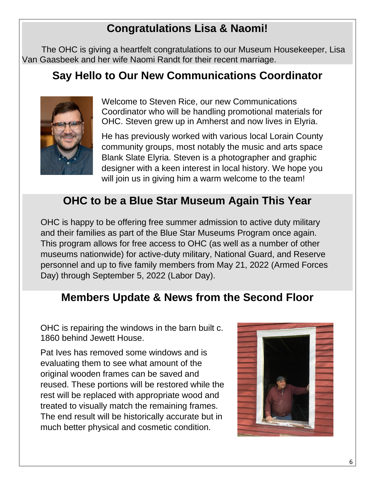## **Congratulations Lisa & Naomi!**

The OHC is giving a heartfelt congratulations to our Museum Housekeeper, Lisa Van Gaasbeek and her wife Naomi Randt for their recent marriage.

### **Say Hello to Our New Communications Coordinator**



Welcome to Steven Rice, our new Communications Coordinator who will be handling promotional materials for OHC. Steven grew up in Amherst and now lives in Elyria.

He has previously worked with various local Lorain County community groups, most notably the music and arts space Blank Slate Elyria. Steven is a photographer and graphic designer with a keen interest in local history. We hope you will join us in giving him a warm welcome to the team!

### **OHC to be a Blue Star Museum Again This Year**

OHC is happy to be offering free summer admission to active duty military and their families as part of the Blue Star Museums Program once again. This program allows for free access to OHC (as well as a number of other museums nationwide) for active-duty military, National Guard, and Reserve personnel and up to five family members from May 21, 2022 (Armed Forces Day) through September 5, 2022 (Labor Day).

### **Members Update & News from the Second Floor**

OHC is repairing the windows in the barn built c. 1860 behind Jewett House.

Pat Ives has removed some windows and is evaluating them to see what amount of the original wooden frames can be saved and reused. These portions will be restored while the rest will be replaced with appropriate wood and treated to visually match the remaining frames. The end result will be historically accurate but in much better physical and cosmetic condition.

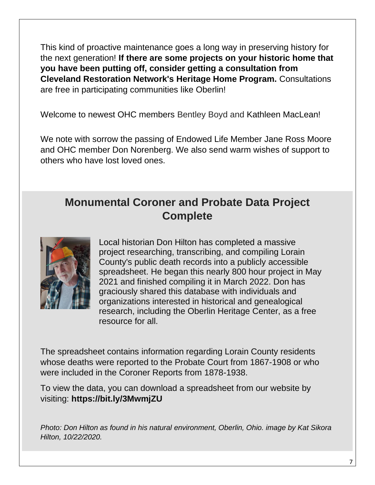This kind of proactive maintenance goes a long way in preserving history for the next generation! **If there are some projects on your historic home that you have been putting off, consider getting a consultation from Cleveland Restoration Network's Heritage Home Program.** Consultations are free in participating communities like Oberlin!

Welcome to newest OHC members Bentley Boyd and Kathleen MacLean!

We note with sorrow the passing of Endowed Life Member Jane Ross Moore and OHC member Don Norenberg. We also send warm wishes of support to others who have lost loved ones.

### **Monumental Coroner and Probate Data Project Complete**



Local historian Don Hilton has completed a massive project researching, transcribing, and compiling Lorain County's public death records into a publicly accessible spreadsheet. He began this nearly 800 hour project in May 2021 and finished compiling it in March 2022. Don has graciously shared this database with individuals and organizations interested in historical and genealogical research, including the Oberlin Heritage Center, as a free resource for all.

The spreadsheet contains information regarding Lorain County residents whose deaths were reported to the Probate Court from 1867-1908 or who were included in the Coroner Reports from 1878-1938.

To view the data, you can download a spreadsheet from our website by visiting: **https://bit.ly/3MwmjZU**

*Photo: Don Hilton as found in his natural environment, Oberlin, Ohio. image by Kat Sikora Hilton, 10/22/2020.*